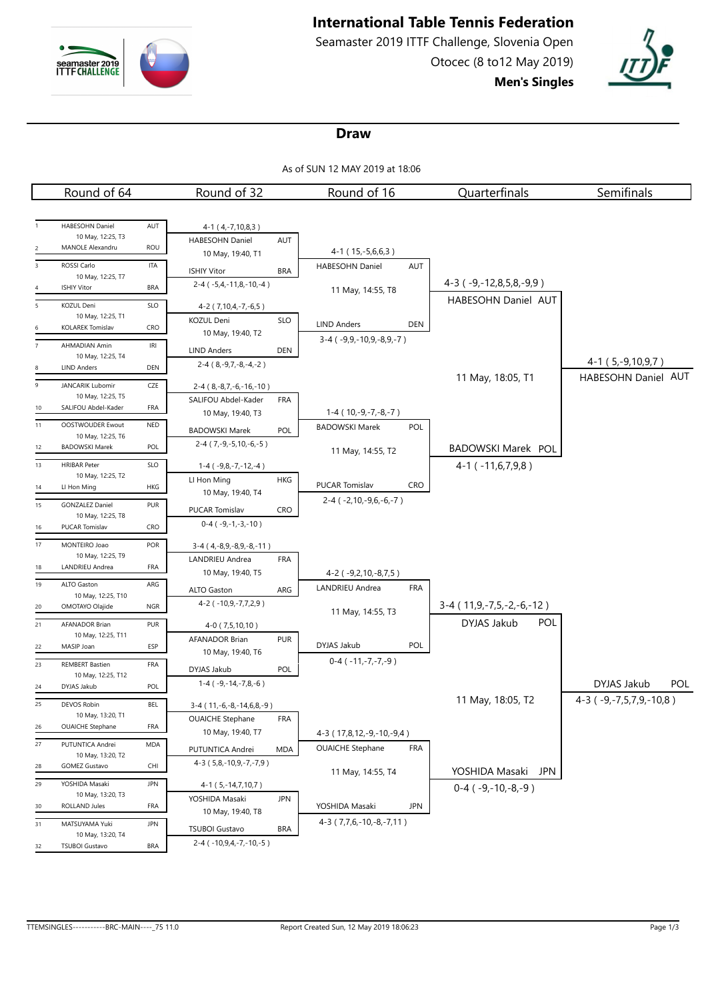

# **International Table Tennis Federation**

Seamaster 2019 ITTF Challenge, Slovenia Open Otocec (8 to12 May 2019) **Men's Singles**



#### **Draw**

As of SUN 12 MAY 2019 at 18:06

|                | Round of 64                                 |                                   | Round of 32                                                | Round of 16                                                | Quarterfinals                       | Semifinals              |
|----------------|---------------------------------------------|-----------------------------------|------------------------------------------------------------|------------------------------------------------------------|-------------------------------------|-------------------------|
|                |                                             |                                   |                                                            |                                                            |                                     |                         |
|                | HABESOHN Daniel                             | AUT                               | 4-1 (4,-7,10,8,3)                                          |                                                            |                                     |                         |
|                | 10 May, 12:25, T3                           |                                   | HABESOHN Daniel<br>AUT                                     |                                                            |                                     |                         |
| 2              | MANOLE Alexandru                            | ROU                               | 10 May, 19:40, T1                                          | 4-1 (15, -5, 6, 6, 3)                                      |                                     |                         |
| 3              | ROSSI Carlo                                 | <b>ITA</b>                        | <b>BRA</b><br><b>ISHIY Vitor</b>                           | HABESOHN Daniel<br>AUT                                     |                                     |                         |
| 4              | 10 May, 12:25, T7<br><b>ISHIY Vitor</b>     | <b>BRA</b>                        | $2-4$ ( $-5,4,-11,8,-10,-4$ )                              | 11 May, 14:55, T8                                          | $4-3$ ( $-9, -12, 8, 5, 8, -9, 9$ ) |                         |
| 5              | <b>KOZUL Deni</b>                           | SLO                               |                                                            |                                                            | HABESOHN Daniel AUT                 |                         |
|                | 10 May, 12:25, T1                           |                                   | 4-2 (7,10,4,-7,-6,5)<br>KOZUL Deni<br><b>SLO</b>           |                                                            |                                     |                         |
| 6              | KOLAREK Tomislav                            | CRO                               | 10 May, 19:40, T2                                          | <b>LIND Anders</b><br>DEN                                  |                                     |                         |
| $\overline{7}$ | AHMADIAN Amin                               | $\ensuremath{\mathsf{IR}}\xspace$ | <b>LIND Anders</b><br>DEN                                  | $3-4$ ( $-9,9,-10,9,-8,9,-7$ )                             |                                     |                         |
|                | 10 May, 12:25, T4                           |                                   | $2-4$ (8, -9, 7, -8, -4, -2)                               |                                                            |                                     | $4-1(5,-9,10,9,7)$      |
| 8              | <b>LIND Anders</b>                          | DEN                               |                                                            |                                                            | 11 May, 18:05, T1                   | HABESOHN Daniel AUT     |
| 9              | JANCARIK Lubomir<br>10 May, 12:25, T5       | CZE                               | $2-4$ (8, -8, 7, -6, -16, -10)                             |                                                            |                                     |                         |
| 10             | SALIFOU Abdel-Kader                         | FRA                               | SALIFOU Abdel-Kader<br><b>FRA</b>                          |                                                            |                                     |                         |
| 11             | OOSTWOUDER Ewout                            | <b>NED</b>                        | 10 May, 19:40, T3                                          | $1-4$ ( $10,-9,-7,-8,-7$ )<br>POL<br><b>BADOWSKI Marek</b> |                                     |                         |
|                | 10 May, 12:25, T6                           |                                   | <b>BADOWSKI Marek</b><br>POL                               |                                                            |                                     |                         |
| 12             | <b>BADOWSKI Marek</b>                       | POL                               | $2-4$ (7, -9, -5, 10, -6, -5)                              | 11 May, 14:55, T2                                          | BADOWSKI Marek POL                  |                         |
| 13             | <b>HRIBAR Peter</b>                         | SLO                               | $1-4$ ( $-9,8,-7,-12,-4$ )                                 |                                                            | $4-1$ ( $-11,6,7,9,8$ )             |                         |
|                | 10 May, 12:25, T2<br>LI Hon Ming            | HKG                               | LI Hon Ming<br><b>HKG</b>                                  | PUCAR Tomislav<br><b>CRO</b>                               |                                     |                         |
| 14             |                                             |                                   | 10 May, 19:40, T4                                          | $2-4$ ( $-2,10,-9,6,-6,-7$ )                               |                                     |                         |
| 15             | <b>GONZALEZ Daniel</b><br>10 May, 12:25, T8 | PUR                               | PUCAR Tomislav<br><b>CRO</b>                               |                                                            |                                     |                         |
| 16             | PUCAR Tomislav                              | <b>CRO</b>                        | $0-4$ ( $-9,-1,-3,-10$ )                                   |                                                            |                                     |                         |
| 17             | MONTEIRO Joao                               | POR                               | $3-4$ (4, -8, 9, -8, 9, -8, -11)                           |                                                            |                                     |                         |
|                | 10 May, 12:25, T9                           |                                   | LANDRIEU Andrea<br>FRA                                     |                                                            |                                     |                         |
| 18             | LANDRIEU Andrea                             | FRA                               | 10 May, 19:40, T5                                          | 4-2 (-9,2,10,-8,7,5)                                       |                                     |                         |
| 19             | ALTO Gaston                                 | ARG                               | ALTO Gaston<br>ARG                                         | LANDRIEU Andrea<br><b>FRA</b>                              |                                     |                         |
| 20             | 10 May, 12:25, T10<br>OMOTAYO Olajide       | <b>NGR</b>                        | 4-2 (-10,9,-7,7,2,9)                                       |                                                            | $3-4$ (11,9,-7,5,-2,-6,-12)         |                         |
| 21             | AFANADOR Brian                              | PUR                               | 4-0 (7,5,10,10)                                            | 11 May, 14:55, T3                                          | DYJAS Jakub<br>POL                  |                         |
|                | 10 May, 12:25, T11                          |                                   | AFANADOR Brian<br><b>PUR</b>                               |                                                            |                                     |                         |
| 22             | MASIP Joan                                  | ESP                               | 10 May, 19:40, T6                                          | DYJAS Jakub<br>POL                                         |                                     |                         |
| 23             | <b>REMBERT Bastien</b>                      | FRA                               | DYJAS Jakub<br>POL                                         | $0-4$ ( $-11,-7,-7,-9$ )                                   |                                     |                         |
| 24             | 10 May, 12:25, T12<br>DYJAS Jakub           | POL                               | $1-4$ ( $-9, -14, -7, 8, -6$ )                             |                                                            |                                     | DYJAS Jakub<br>POL.     |
|                |                                             |                                   |                                                            |                                                            | 11 May, 18:05, T2                   | 4-3 (-9,-7,5,7,9,-10,8) |
| 25             | DEVOS Robin<br>10 May, 13:20, T1            | BEL                               | $3-4$ (11, $-6$ , $-8$ , $-14$ , $6$ , $8$ , $-9$ )        |                                                            |                                     |                         |
| 26             | <b>OUAICHE Stephane</b>                     | FRA                               | <b>FRA</b><br><b>OUAICHE Stephane</b><br>10 May, 19:40, T7 |                                                            |                                     |                         |
| 27             | PUTUNTICA Andrei                            | MDA                               |                                                            | 4-3 (17,8,12,-9,-10,-9,4)<br><b>OUAICHE Stephane</b>       |                                     |                         |
|                | 10 May, 13:20, T2                           |                                   | PUTUNTICA Andrei<br><b>MDA</b>                             | <b>FRA</b>                                                 |                                     |                         |
| 28             | <b>GOMEZ Gustavo</b>                        | CHI                               | 4-3 (5,8,-10,9,-7,-7,9)                                    | 11 May, 14:55, T4                                          | YOSHIDA Masaki<br>JPN               |                         |
| 29             | YOSHIDA Masaki                              | <b>JPN</b>                        | 4-1 (5,-14,7,10,7)                                         |                                                            | $0-4$ ( $-9,-10,-8,-9$ )            |                         |
| 30             | 10 May, 13:20, T3<br>ROLLAND Jules          | FRA                               | YOSHIDA Masaki<br><b>JPN</b>                               | YOSHIDA Masaki<br><b>JPN</b>                               |                                     |                         |
|                |                                             |                                   | 10 May, 19:40, T8                                          | 4-3 (7,7,6,-10,-8,-7,11)                                   |                                     |                         |
| 31             | MATSUYAMA Yuki<br>10 May, 13:20, T4         | <b>JPN</b>                        | <b>TSUBOI Gustavo</b><br><b>BRA</b>                        |                                                            |                                     |                         |
| 32             | <b>TSUBOI Gustavo</b>                       | <b>BRA</b>                        | $2-4$ ( $-10,9,4,-7,-10,-5$ )                              |                                                            |                                     |                         |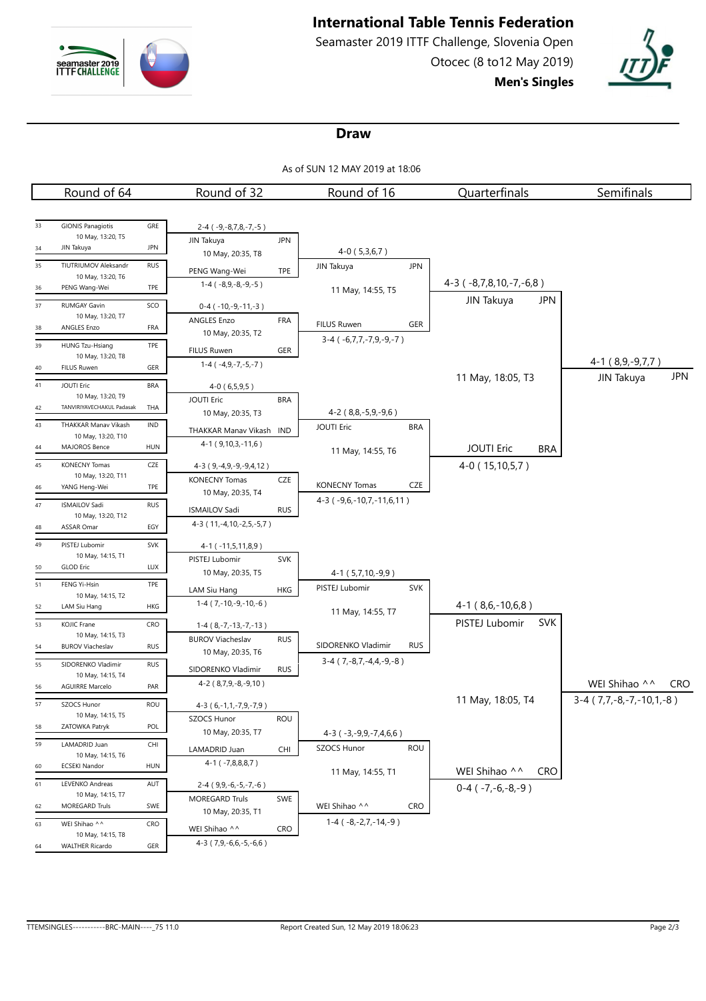

# **International Table Tennis Federation**

Seamaster 2019 ITTF Challenge, Slovenia Open Otocec (8 to12 May 2019) **Men's Singles**



#### **Draw**

As of SUN 12 MAY 2019 at 18:06

|        | Round of 64                                 |            | Round of 32                                     |            | Round of 16                                    |            | Quarterfinals                   | Semifinals                  |
|--------|---------------------------------------------|------------|-------------------------------------------------|------------|------------------------------------------------|------------|---------------------------------|-----------------------------|
|        |                                             |            |                                                 |            |                                                |            |                                 |                             |
| 33     | <b>GIONIS Panagiotis</b>                    | GRE        | $2-4$ ( $-9,-8,7,8,-7,-5$ )                     |            |                                                |            |                                 |                             |
|        | 10 May, 13:20, T5                           |            | JIN Takuya                                      | <b>JPN</b> |                                                |            |                                 |                             |
| 34     | JIN Takuya                                  | <b>JPN</b> | 10 May, 20:35, T8                               |            | $4-0(5,3,6,7)$                                 |            |                                 |                             |
| 35     | TIUTRIUMOV Aleksandr                        | <b>RUS</b> | PENG Wang-Wei                                   | TPE        | JIN Takuya                                     | <b>JPN</b> |                                 |                             |
| 36     | 10 May, 13:20, T6<br>PENG Wang-Wei          | TPE        | $1-4$ ( $-8,9,-8,-9,-5$ )                       |            | 11 May, 14:55, T5                              |            | $4-3$ ( $-8,7,8,10,-7,-6,8$ )   |                             |
| 37     | RUMGAY Gavin                                | SCO        |                                                 |            |                                                |            | JIN Takuya<br><b>JPN</b>        |                             |
|        | 10 May, 13:20, T7                           |            | $0-4$ ( $-10,-9,-11,-3$ )<br><b>ANGLES Enzo</b> | FRA        |                                                |            |                                 |                             |
| 38     | ANGLES Enzo                                 | FRA        | 10 May, 20:35, T2                               |            | <b>FILUS Ruwen</b>                             | GER        |                                 |                             |
| 39     | HUNG Tzu-Hsiang                             | TPE        | FILUS Ruwen                                     | GER        | $3-4$ ( $-6,7,7,-7,9,-9,-7$ )                  |            |                                 |                             |
|        | 10 May, 13:20, T8                           |            | $1-4$ ( $-4, 9, -7, -5, -7$ )                   |            |                                                |            |                                 | $4-1(8,9,-9,7,7)$           |
| 40     | <b>FILUS Ruwen</b>                          | GER        |                                                 |            |                                                |            | 11 May, 18:05, T3               | <b>JPN</b><br>JIN Takuya    |
| $41\,$ | <b>JOUTI Eric</b><br>10 May, 13:20, T9      | <b>BRA</b> | $4-0(6,5,9,5)$                                  |            |                                                |            |                                 |                             |
| 42     | TANVIRIYAVECHAKUL Padasak                   | THA        | <b>JOUTI Eric</b>                               | <b>BRA</b> |                                                |            |                                 |                             |
| 43     | THAKKAR Manav Vikash                        | IND        | 10 May, 20:35, T3                               |            | 4-2 (8,8,-5,9,-9,6)<br><b>JOUTI Eric</b>       | <b>BRA</b> |                                 |                             |
|        | 10 May, 13:20, T10                          |            | THAKKAR Manav Vikash IND                        |            |                                                |            |                                 |                             |
| 44     | MAJOROS Bence                               | <b>HUN</b> | $4-1$ (9,10,3,-11,6)                            |            | 11 May, 14:55, T6                              |            | <b>JOUTI Eric</b><br><b>BRA</b> |                             |
| 45     | <b>KONECNY Tomas</b>                        | CZE        | 4-3 (9,-4,9,-9,-9,4,12)                         |            |                                                |            | 4-0 (15,10,5,7)                 |                             |
| 46     | 10 May, 13:20, T11<br>YANG Heng-Wei         | TPE        | <b>KONECNY Tomas</b>                            | CZE        | <b>KONECNY Tomas</b>                           | CZE        |                                 |                             |
|        |                                             |            | 10 May, 20:35, T4                               |            | 4-3 (-9,6,-10,7,-11,6,11)                      |            |                                 |                             |
| 47     | <b>ISMAILOV Sadi</b><br>10 May, 13:20, T12  | <b>RUS</b> | <b>ISMAILOV Sadi</b>                            | <b>RUS</b> |                                                |            |                                 |                             |
| 48     | <b>ASSAR Omar</b>                           | EGY        | 4-3 (11, -4, 10, -2, 5, -5, 7)                  |            |                                                |            |                                 |                             |
| 49     | PISTEJ Lubomir                              | SVK        | 4-1 (-11,5,11,8,9)                              |            |                                                |            |                                 |                             |
|        | 10 May, 14:15, T1                           |            | PISTEJ Lubomir                                  | <b>SVK</b> |                                                |            |                                 |                             |
| 50     | <b>GLOD Eric</b>                            | LUX        | 10 May, 20:35, T5                               |            | 4-1 (5,7,10,-9,9)                              |            |                                 |                             |
| 51     | FENG Yi-Hsin<br>10 May, 14:15, T2           | TPE        | LAM Siu Hang                                    | HKG        | PISTEJ Lubomir                                 | <b>SVK</b> |                                 |                             |
| 52     | LAM Siu Hang                                | HKG        | $1-4$ (7,-10,-9,-10,-6)                         |            |                                                |            | $4-1(8,6,-10,6,8)$              |                             |
| 53     | KOJIC Frane                                 | CRO        | $1-4(8,-7,-13,-7,-13)$                          |            | 11 May, 14:55, T7                              |            | PISTEJ Lubomir<br><b>SVK</b>    |                             |
|        | 10 May, 14:15, T3                           |            | <b>BUROV Viacheslav</b>                         | <b>RUS</b> |                                                |            |                                 |                             |
| 54     | <b>BUROV Viacheslav</b>                     | <b>RUS</b> | 10 May, 20:35, T6                               |            | SIDORENKO Vladimir                             | <b>RUS</b> |                                 |                             |
| 55     | SIDORENKO Vladimir                          | <b>RUS</b> | SIDORENKO Vladimir                              | <b>RUS</b> | $3-4$ (7, $-8$ , 7, $-4$ , $4$ , $-9$ , $-8$ ) |            |                                 |                             |
| 56     | 10 May, 14:15, T4<br><b>AGUIRRE Marcelo</b> | PAR        | 4-2 (8,7,9,-8,-9,10)                            |            |                                                |            |                                 | WEI Shihao ^^<br><b>CRO</b> |
| 57     |                                             | <b>ROU</b> |                                                 |            |                                                |            | 11 May, 18:05, T4               | $3-4$ (7,7,-8,-7,-10,1,-8)  |
|        | SZOCS Hunor<br>10 May, 14:15, T5            |            | $4-3(6,-1,1,-7,9,-7,9)$<br>SZOCS Hunor          | ROU        |                                                |            |                                 |                             |
| 58     | ZATOWKA Patryk                              | POL        | 10 May, 20:35, T7                               |            | $4-3$ ( $-3, -9, 9, -7, 4, 6, 6$ )             |            |                                 |                             |
| 59     | LAMADRID Juan                               | CHI        | LAMADRID Juan                                   | CHI        | SZOCS Hunor                                    | <b>ROU</b> |                                 |                             |
|        | 10 May, 14:15, T6                           |            | $4-1$ ( $-7,8,8,8,7$ )                          |            |                                                |            |                                 |                             |
| 60     | <b>ECSEKI Nandor</b>                        | HUN        |                                                 |            | 11 May, 14:55, T1                              |            | WEI Shihao ^^<br><b>CRO</b>     |                             |
| 61     | LEVENKO Andreas<br>10 May, 14:15, T7        | AUT        | 2-4 (9,9,-6,-5,-7,-6)                           |            |                                                |            | $0-4$ ( $-7,-6,-8,-9$ )         |                             |
| 62     | MOREGARD Truls                              | SWE        | <b>MOREGARD Truls</b>                           | SWE        | WEI Shihao ^^                                  | <b>CRO</b> |                                 |                             |
| 63     | WEI Shihao ^^                               | CRO        | 10 May, 20:35, T1                               |            | $1-4$ ( $-8,-2,7,-14,-9$ )                     |            |                                 |                             |
|        | 10 May, 14:15, T8                           |            | WEI Shihao ^^                                   | <b>CRO</b> |                                                |            |                                 |                             |
| 64     | <b>WALTHER Ricardo</b>                      | GER        | $4-3$ (7,9,-6,6,-5,-6,6)                        |            |                                                |            |                                 |                             |